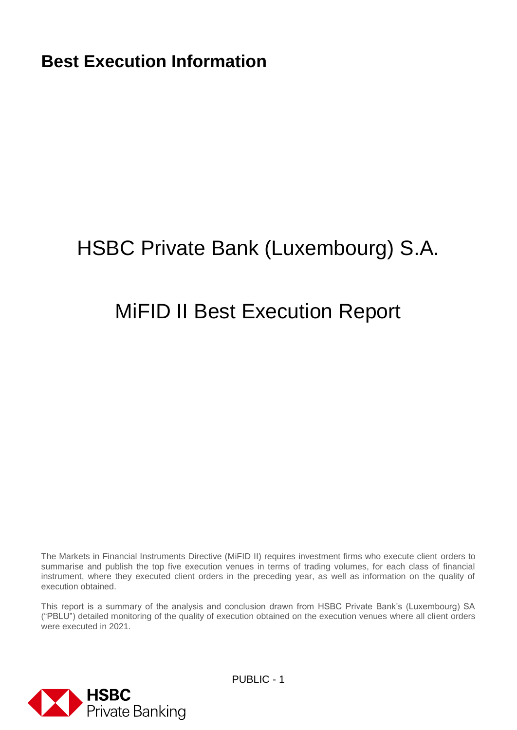# HSBC Private Bank (Luxembourg) S.A.

# MiFID II Best Execution Report

The Markets in Financial Instruments Directive (MiFID II) requires investment firms who execute client orders to summarise and publish the top five execution venues in terms of trading volumes, for each class of financial instrument, where they executed client orders in the preceding year, as well as information on the quality of execution obtained.

This report is a summary of the analysis and conclusion drawn from HSBC Private Bank's (Luxembourg) SA ("PBLU") detailed monitoring of the quality of execution obtained on the execution venues where all client orders were executed in 2021.

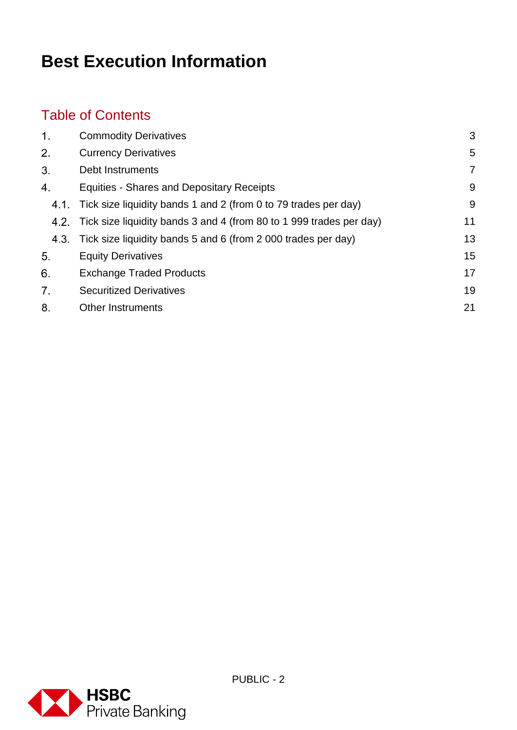### Table of Contents

| 1.   | <b>Commodity Derivatives</b>                                             | 3  |
|------|--------------------------------------------------------------------------|----|
| 2.   | <b>Currency Derivatives</b>                                              | 5  |
| 3.   | Debt Instruments                                                         | 7  |
| 4.   | <b>Equities - Shares and Depositary Receipts</b>                         | 9  |
|      | 4.1. Tick size liquidity bands 1 and 2 (from 0 to 79 trades per day)     | 9  |
|      | 4.2. Tick size liquidity bands 3 and 4 (from 80 to 1 999 trades per day) | 11 |
| 4.3. | Tick size liquidity bands 5 and 6 (from 2 000 trades per day)            | 13 |
| 5.   | <b>Equity Derivatives</b>                                                | 15 |
| 6.   | <b>Exchange Traded Products</b>                                          | 17 |
| 7.   | <b>Securitized Derivatives</b>                                           | 19 |
| 8.   | <b>Other Instruments</b>                                                 | 21 |
|      |                                                                          |    |

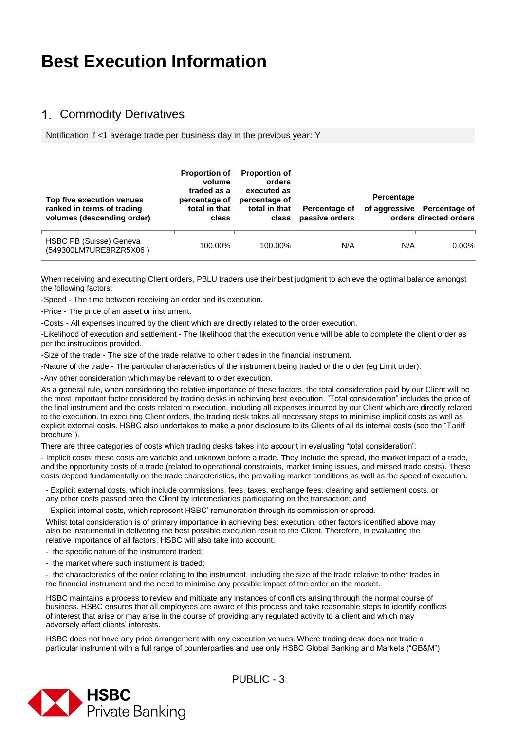#### <span id="page-2-0"></span>Commodity Derivatives

Notification if <1 average trade per business day in the previous year: Y

| Top five execution venues<br>ranked in terms of trading<br>volumes (descending order) | <b>Proportion of</b><br>volume<br>traded as a<br>percentage of<br>total in that<br>class | <b>Proportion of</b><br>orders<br>executed as<br>percentage of<br>total in that<br>class | Percentage of<br>passive orders | Percentage | of aggressive Percentage of<br>orders directed orders |
|---------------------------------------------------------------------------------------|------------------------------------------------------------------------------------------|------------------------------------------------------------------------------------------|---------------------------------|------------|-------------------------------------------------------|
| HSBC PB (Suisse) Geneva<br>(549300LM7URE8RZR5X06)                                     | 100.00%                                                                                  | 100.00%                                                                                  | N/A                             | N/A        | $0.00\%$                                              |

When receiving and executing Client orders, PBLU traders use their best judgment to achieve the optimal balance amongst the following factors:

-Speed - The time between receiving an order and its execution.

-Price - The price of an asset or instrument.

-Costs - All expenses incurred by the client which are directly related to the order execution.

-Likelihood of execution and settlement - The likelihood that the execution venue will be able to complete the client order as per the instructions provided.

-Size of the trade - The size of the trade relative to other trades in the financial instrument.

-Nature of the trade - The particular characteristics of the instrument being traded or the order (eg Limit order).

-Any other consideration which may be relevant to order execution.

As a general rule, when considering the relative importance of these factors, the total consideration paid by our Client will be the most important factor considered by trading desks in achieving best execution. "Total consideration" includes the price of the final instrument and the costs related to execution, including all expenses incurred by our Client which are directly related to the execution. In executing Client orders, the trading desk takes all necessary steps to minimise implicit costs as well as explicit external costs. HSBC also undertakes to make a prior disclosure to its Clients of all its internal costs (see the "Tariff brochure").

There are three categories of costs which trading desks takes into account in evaluating "total consideration":

- Implicit costs: these costs are variable and unknown before a trade. They include the spread, the market impact of a trade, and the opportunity costs of a trade (related to operational constraints, market timing issues, and missed trade costs). These costs depend fundamentally on the trade characteristics, the prevailing market conditions as well as the speed of execution.

- Explicit external costs, which include commissions, fees, taxes, exchange fees, clearing and settlement costs, or any other costs passed onto the Client by intermediaries participating on the transaction; and

- Explicit internal costs, which represent HSBC' remuneration through its commission or spread.

Whilst total consideration is of primary importance in achieving best execution, other factors identified above may also be instrumental in delivering the best possible execution result to the Client. Therefore, in evaluating the relative importance of all factors, HSBC will also take into account:

- the specific nature of the instrument traded;

- the market where such instrument is traded;

- the characteristics of the order relating to the instrument, including the size of the trade relative to other trades in the financial instrument and the need to minimise any possible impact of the order on the market.

HSBC maintains a process to review and mitigate any instances of conflicts arising through the normal course of business. HSBC ensures that all employees are aware of this process and take reasonable steps to identify conflicts of interest that arise or may arise in the course of providing any regulated activity to a client and which may adversely affect clients' interests.

HSBC does not have any price arrangement with any execution venues. Where trading desk does not trade a particular instrument with a full range of counterparties and use only HSBC Global Banking and Markets ("GB&M")

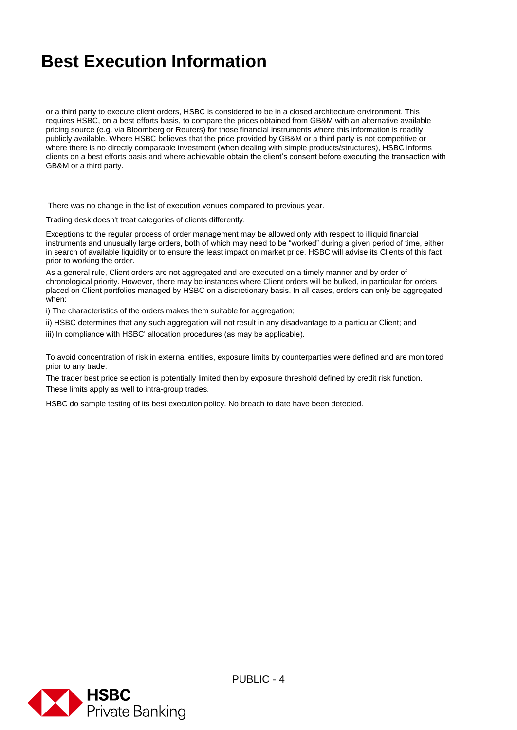or a third party to execute client orders, HSBC is considered to be in a closed architecture environment. This requires HSBC, on a best efforts basis, to compare the prices obtained from GB&M with an alternative available pricing source (e.g. via Bloomberg or Reuters) for those financial instruments where this information is readily publicly available. Where HSBC believes that the price provided by GB&M or a third party is not competitive or where there is no directly comparable investment (when dealing with simple products/structures), HSBC informs clients on a best efforts basis and where achievable obtain the client's consent before executing the transaction with GB&M or a third party.

There was no change in the list of execution venues compared to previous year.

Trading desk doesn't treat categories of clients differently.

Exceptions to the regular process of order management may be allowed only with respect to illiquid financial instruments and unusually large orders, both of which may need to be "worked" during a given period of time, either in search of available liquidity or to ensure the least impact on market price. HSBC will advise its Clients of this fact prior to working the order.

As a general rule, Client orders are not aggregated and are executed on a timely manner and by order of chronological priority. However, there may be instances where Client orders will be bulked, in particular for orders placed on Client portfolios managed by HSBC on a discretionary basis. In all cases, orders can only be aggregated when:

i) The characteristics of the orders makes them suitable for aggregation;

ii) HSBC determines that any such aggregation will not result in any disadvantage to a particular Client; and

iii) In compliance with HSBC' allocation procedures (as may be applicable).

To avoid concentration of risk in external entities, exposure limits by counterparties were defined and are monitored prior to any trade.

The trader best price selection is potentially limited then by exposure threshold defined by credit risk function. These limits apply as well to intra-group trades.

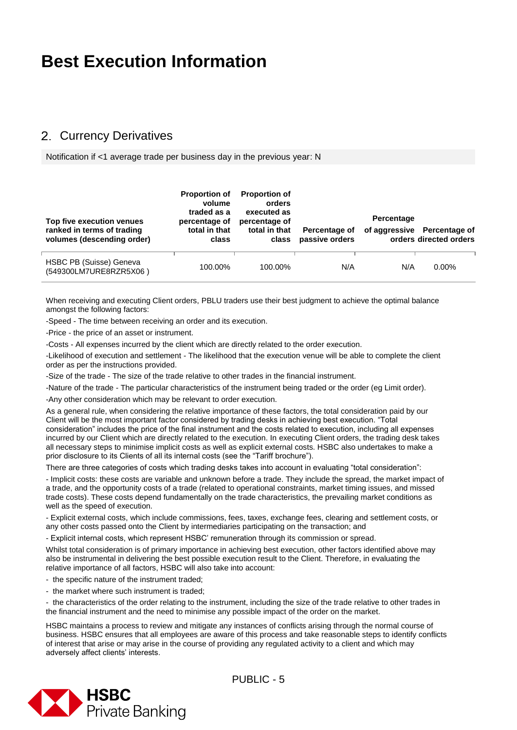#### <span id="page-4-0"></span>2. Currency Derivatives

Notification if <1 average trade per business day in the previous year: N

| Top five execution venues<br>ranked in terms of trading<br>volumes (descending order) | <b>Proportion of</b><br>volume<br>traded as a<br>percentage of<br>total in that<br>class | <b>Proportion of</b><br>orders<br>executed as<br>percentage of<br>total in that<br>class | Percentage of<br>passive orders | Percentage | of aggressive Percentage of<br>orders directed orders |
|---------------------------------------------------------------------------------------|------------------------------------------------------------------------------------------|------------------------------------------------------------------------------------------|---------------------------------|------------|-------------------------------------------------------|
| HSBC PB (Suisse) Geneva<br>(549300LM7URE8RZR5X06)                                     | 100.00%                                                                                  | 100.00%                                                                                  | N/A                             | N/A        | $0.00\%$                                              |

When receiving and executing Client orders, PBLU traders use their best judgment to achieve the optimal balance amongst the following factors:

-Speed - The time between receiving an order and its execution.

-Price - the price of an asset or instrument.

-Costs - All expenses incurred by the client which are directly related to the order execution.

-Likelihood of execution and settlement - The likelihood that the execution venue will be able to complete the client order as per the instructions provided.

-Size of the trade - The size of the trade relative to other trades in the financial instrument.

-Nature of the trade - The particular characteristics of the instrument being traded or the order (eg Limit order).

-Any other consideration which may be relevant to order execution.

As a general rule, when considering the relative importance of these factors, the total consideration paid by our Client will be the most important factor considered by trading desks in achieving best execution. "Total consideration" includes the price of the final instrument and the costs related to execution, including all expenses incurred by our Client which are directly related to the execution. In executing Client orders, the trading desk takes all necessary steps to minimise implicit costs as well as explicit external costs. HSBC also undertakes to make a prior disclosure to its Clients of all its internal costs (see the "Tariff brochure").

There are three categories of costs which trading desks takes into account in evaluating "total consideration":

- Implicit costs: these costs are variable and unknown before a trade. They include the spread, the market impact of a trade, and the opportunity costs of a trade (related to operational constraints, market timing issues, and missed trade costs). These costs depend fundamentally on the trade characteristics, the prevailing market conditions as well as the speed of execution.

- Explicit external costs, which include commissions, fees, taxes, exchange fees, clearing and settlement costs, or any other costs passed onto the Client by intermediaries participating on the transaction; and

- Explicit internal costs, which represent HSBC' remuneration through its commission or spread.

Whilst total consideration is of primary importance in achieving best execution, other factors identified above may also be instrumental in delivering the best possible execution result to the Client. Therefore, in evaluating the relative importance of all factors, HSBC will also take into account:

- the specific nature of the instrument traded;
- the market where such instrument is traded;

- the characteristics of the order relating to the instrument, including the size of the trade relative to other trades in the financial instrument and the need to minimise any possible impact of the order on the market.

HSBC maintains a process to review and mitigate any instances of conflicts arising through the normal course of business. HSBC ensures that all employees are aware of this process and take reasonable steps to identify conflicts of interest that arise or may arise in the course of providing any regulated activity to a client and which may adversely affect clients' interests.

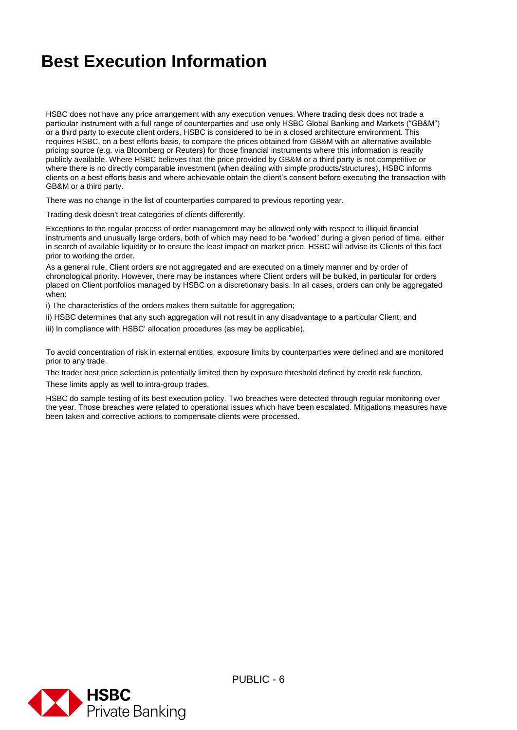HSBC does not have any price arrangement with any execution venues. Where trading desk does not trade a particular instrument with a full range of counterparties and use only HSBC Global Banking and Markets ("GB&M") or a third party to execute client orders, HSBC is considered to be in a closed architecture environment. This requires HSBC, on a best efforts basis, to compare the prices obtained from GB&M with an alternative available pricing source (e.g. via Bloomberg or Reuters) for those financial instruments where this information is readily publicly available. Where HSBC believes that the price provided by GB&M or a third party is not competitive or where there is no directly comparable investment (when dealing with simple products/structures), HSBC informs clients on a best efforts basis and where achievable obtain the client's consent before executing the transaction with GB&M or a third party.

There was no change in the list of counterparties compared to previous reporting year.

Trading desk doesn't treat categories of clients differently.

Exceptions to the regular process of order management may be allowed only with respect to illiquid financial instruments and unusually large orders, both of which may need to be "worked" during a given period of time, either in search of available liquidity or to ensure the least impact on market price. HSBC will advise its Clients of this fact prior to working the order.

As a general rule, Client orders are not aggregated and are executed on a timely manner and by order of chronological priority. However, there may be instances where Client orders will be bulked, in particular for orders placed on Client portfolios managed by HSBC on a discretionary basis. In all cases, orders can only be aggregated when:

i) The characteristics of the orders makes them suitable for aggregation;

ii) HSBC determines that any such aggregation will not result in any disadvantage to a particular Client; and

iii) In compliance with HSBC' allocation procedures (as may be applicable).

To avoid concentration of risk in external entities, exposure limits by counterparties were defined and are monitored prior to any trade.

The trader best price selection is potentially limited then by exposure threshold defined by credit risk function. These limits apply as well to intra-group trades.

HSBC do sample testing of its best execution policy. Two breaches were detected through regular monitoring over the year. Those breaches were related to operational issues which have been escalated. Mitigations measures have been taken and corrective actions to compensate clients were processed.

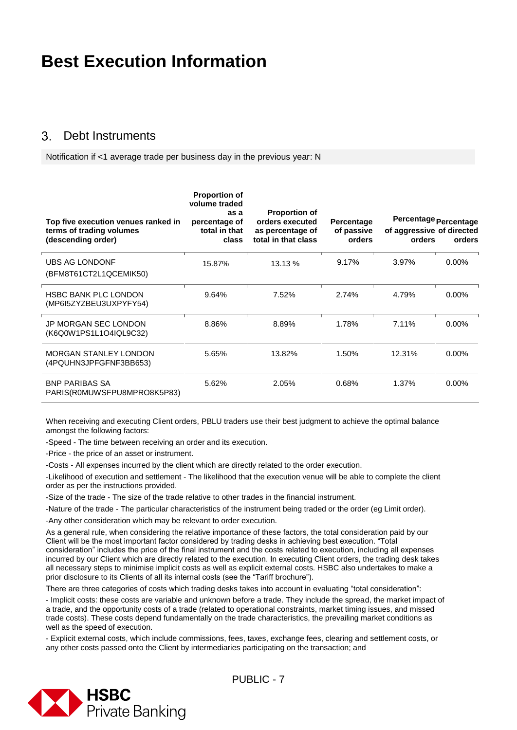#### <span id="page-6-0"></span> $\mathcal{S}$ Debt Instruments

Notification if <1 average trade per business day in the previous year: N

| Top five execution venues ranked in<br>terms of trading volumes<br>(descending order) | <b>Proportion of</b><br>volume traded<br>as a<br>percentage of<br>total in that<br>class | <b>Proportion of</b><br>orders executed<br>as percentage of<br>total in that class | Percentage<br>of passive<br>orders | Percentage Percentage<br>of aggressive of directed<br>orders | orders   |
|---------------------------------------------------------------------------------------|------------------------------------------------------------------------------------------|------------------------------------------------------------------------------------|------------------------------------|--------------------------------------------------------------|----------|
| <b>UBS AG LONDONF</b><br>(BFM8T61CT2L1QCEMIK50)                                       | 15.87%                                                                                   | 13.13 %                                                                            | 9.17%                              | 3.97%                                                        | $0.00\%$ |
| <b>HSBC BANK PLC LONDON</b><br>(MP6I5ZYZBEU3UXPYFY54)                                 | 9.64%                                                                                    | 7.52%                                                                              | 2.74%                              | 4.79%                                                        | $0.00\%$ |
| <b>JP MORGAN SEC LONDON</b><br>(K6Q0W1PS1L1O4IQL9C32)                                 | 8.86%                                                                                    | 8.89%                                                                              | 1.78%                              | 7.11%                                                        | $0.00\%$ |
| <b>MORGAN STANLEY LONDON</b><br>(4PQUHN3JPFGFNF3BB653)                                | 5.65%                                                                                    | 13.82%                                                                             | 1.50%                              | 12.31%                                                       | $0.00\%$ |
| <b>BNP PARIBAS SA</b><br>PARIS(R0MUWSFPU8MPRO8K5P83)                                  | 5.62%                                                                                    | 2.05%                                                                              | 0.68%                              | 1.37%                                                        | $0.00\%$ |

When receiving and executing Client orders, PBLU traders use their best judgment to achieve the optimal balance amongst the following factors:

-Speed - The time between receiving an order and its execution.

-Price - the price of an asset or instrument.

-Costs - All expenses incurred by the client which are directly related to the order execution.

-Likelihood of execution and settlement - The likelihood that the execution venue will be able to complete the client order as per the instructions provided.

-Size of the trade - The size of the trade relative to other trades in the financial instrument.

-Nature of the trade - The particular characteristics of the instrument being traded or the order (eg Limit order).

-Any other consideration which may be relevant to order execution.

As a general rule, when considering the relative importance of these factors, the total consideration paid by our Client will be the most important factor considered by trading desks in achieving best execution. "Total consideration" includes the price of the final instrument and the costs related to execution, including all expenses incurred by our Client which are directly related to the execution. In executing Client orders, the trading desk takes all necessary steps to minimise implicit costs as well as explicit external costs. HSBC also undertakes to make a prior disclosure to its Clients of all its internal costs (see the "Tariff brochure").

There are three categories of costs which trading desks takes into account in evaluating "total consideration":

- Implicit costs: these costs are variable and unknown before a trade. They include the spread, the market impact of a trade, and the opportunity costs of a trade (related to operational constraints, market timing issues, and missed trade costs). These costs depend fundamentally on the trade characteristics, the prevailing market conditions as well as the speed of execution.

- Explicit external costs, which include commissions, fees, taxes, exchange fees, clearing and settlement costs, or any other costs passed onto the Client by intermediaries participating on the transaction; and

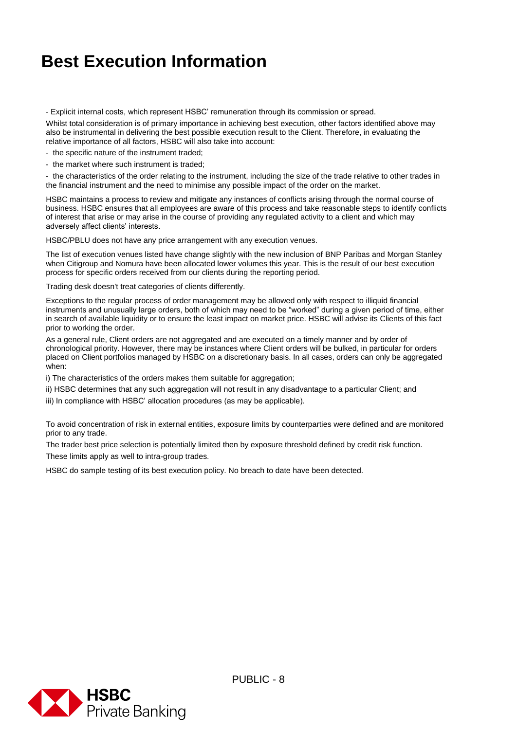- Explicit internal costs, which represent HSBC' remuneration through its commission or spread.

Whilst total consideration is of primary importance in achieving best execution, other factors identified above may also be instrumental in delivering the best possible execution result to the Client. Therefore, in evaluating the relative importance of all factors, HSBC will also take into account:

- the specific nature of the instrument traded;

- the market where such instrument is traded;

- the characteristics of the order relating to the instrument, including the size of the trade relative to other trades in the financial instrument and the need to minimise any possible impact of the order on the market.

HSBC maintains a process to review and mitigate any instances of conflicts arising through the normal course of business. HSBC ensures that all employees are aware of this process and take reasonable steps to identify conflicts of interest that arise or may arise in the course of providing any regulated activity to a client and which may adversely affect clients' interests.

HSBC/PBLU does not have any price arrangement with any execution venues.

The list of execution venues listed have change slightly with the new inclusion of BNP Paribas and Morgan Stanley when Citigroup and Nomura have been allocated lower volumes this year. This is the result of our best execution process for specific orders received from our clients during the reporting period.

Trading desk doesn't treat categories of clients differently.

Exceptions to the regular process of order management may be allowed only with respect to illiquid financial instruments and unusually large orders, both of which may need to be "worked" during a given period of time, either in search of available liquidity or to ensure the least impact on market price. HSBC will advise its Clients of this fact prior to working the order.

As a general rule, Client orders are not aggregated and are executed on a timely manner and by order of chronological priority. However, there may be instances where Client orders will be bulked, in particular for orders placed on Client portfolios managed by HSBC on a discretionary basis. In all cases, orders can only be aggregated when:

i) The characteristics of the orders makes them suitable for aggregation;

ii) HSBC determines that any such aggregation will not result in any disadvantage to a particular Client; and

iii) In compliance with HSBC' allocation procedures (as may be applicable).

To avoid concentration of risk in external entities, exposure limits by counterparties were defined and are monitored prior to any trade.

The trader best price selection is potentially limited then by exposure threshold defined by credit risk function.

These limits apply as well to intra-group trades.

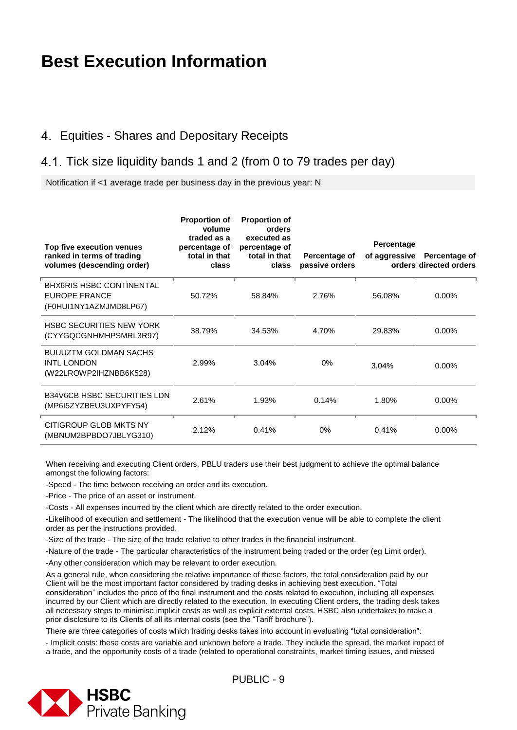#### <span id="page-8-0"></span>Equities - Shares and Depositary Receipts

#### <span id="page-8-1"></span>4.1. Tick size liquidity bands 1 and 2 (from 0 to 79 trades per day)

Notification if <1 average trade per business day in the previous year: N

| Top five execution venues<br>ranked in terms of trading<br>volumes (descending order) | <b>Proportion of</b><br>volume<br>traded as a<br>percentage of<br>total in that<br>class | <b>Proportion of</b><br>orders<br>executed as<br>percentage of<br>total in that<br>class | Percentage of<br>passive orders | Percentage<br>of aggressive | Percentage of<br>orders directed orders |
|---------------------------------------------------------------------------------------|------------------------------------------------------------------------------------------|------------------------------------------------------------------------------------------|---------------------------------|-----------------------------|-----------------------------------------|
| <b>BHX6RIS HSBC CONTINENTAL</b><br><b>EUROPE FRANCE</b><br>(F0HUI1NY1AZMJMD8LP67)     | 50.72%                                                                                   | 58.84%                                                                                   | 2.76%                           | 56.08%                      | $0.00\%$                                |
| <b>HSBC SECURITIES NEW YORK</b><br>(CYYGQCGNHMHPSMRL3R97)                             | 38.79%                                                                                   | 34.53%                                                                                   | 4.70%                           | 29.83%                      | $0.00\%$                                |
| <b>BUUUZTM GOLDMAN SACHS</b><br><b>INTL LONDON</b><br>(W22LROWP2IHZNBB6K528)          | 2.99%                                                                                    | 3.04%                                                                                    | 0%                              | 3.04%                       | $0.00\%$                                |
| <b>B34V6CB HSBC SECURITIES LDN</b><br>(MP6I5ZYZBEU3UXPYFY54)                          | 2.61%                                                                                    | 1.93%                                                                                    | 0.14%                           | 1.80%                       | $0.00\%$                                |
| CITIGROUP GLOB MKTS NY<br>(MBNUM2BPBDO7JBLYG310)                                      | 2.12%                                                                                    | 0.41%                                                                                    | 0%                              | 0.41%                       | $0.00\%$                                |

When receiving and executing Client orders, PBLU traders use their best judgment to achieve the optimal balance amongst the following factors:

-Speed - The time between receiving an order and its execution.

-Price - The price of an asset or instrument.

-Costs - All expenses incurred by the client which are directly related to the order execution.

-Likelihood of execution and settlement - The likelihood that the execution venue will be able to complete the client order as per the instructions provided.

-Size of the trade - The size of the trade relative to other trades in the financial instrument.

-Nature of the trade - The particular characteristics of the instrument being traded or the order (eg Limit order).

-Any other consideration which may be relevant to order execution.

As a general rule, when considering the relative importance of these factors, the total consideration paid by our Client will be the most important factor considered by trading desks in achieving best execution. "Total consideration" includes the price of the final instrument and the costs related to execution, including all expenses incurred by our Client which are directly related to the execution. In executing Client orders, the trading desk takes all necessary steps to minimise implicit costs as well as explicit external costs. HSBC also undertakes to make a prior disclosure to its Clients of all its internal costs (see the "Tariff brochure").

There are three categories of costs which trading desks takes into account in evaluating "total consideration":

- Implicit costs: these costs are variable and unknown before a trade. They include the spread, the market impact of a trade, and the opportunity costs of a trade (related to operational constraints, market timing issues, and missed

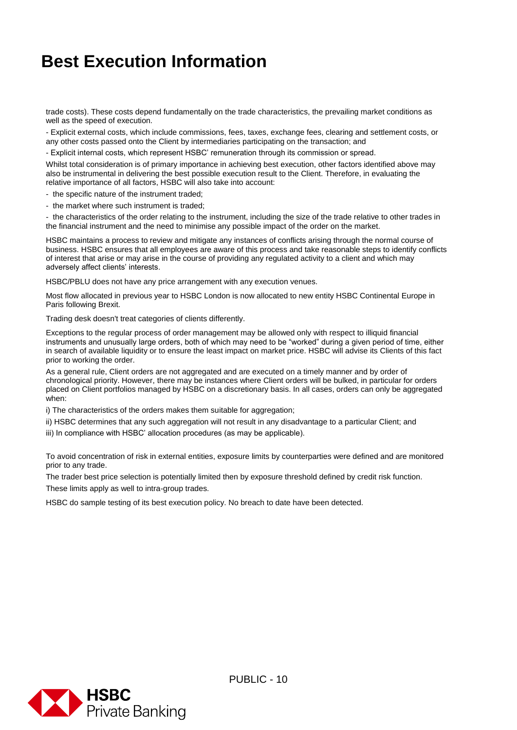trade costs). These costs depend fundamentally on the trade characteristics, the prevailing market conditions as well as the speed of execution.

- Explicit external costs, which include commissions, fees, taxes, exchange fees, clearing and settlement costs, or any other costs passed onto the Client by intermediaries participating on the transaction; and

- Explicit internal costs, which represent HSBC' remuneration through its commission or spread.

Whilst total consideration is of primary importance in achieving best execution, other factors identified above may also be instrumental in delivering the best possible execution result to the Client. Therefore, in evaluating the relative importance of all factors, HSBC will also take into account:

- the specific nature of the instrument traded;

- the market where such instrument is traded;

- the characteristics of the order relating to the instrument, including the size of the trade relative to other trades in the financial instrument and the need to minimise any possible impact of the order on the market.

HSBC maintains a process to review and mitigate any instances of conflicts arising through the normal course of business. HSBC ensures that all employees are aware of this process and take reasonable steps to identify conflicts of interest that arise or may arise in the course of providing any regulated activity to a client and which may adversely affect clients' interests.

HSBC/PBLU does not have any price arrangement with any execution venues.

Most flow allocated in previous year to HSBC London is now allocated to new entity HSBC Continental Europe in Paris following Brexit.

Trading desk doesn't treat categories of clients differently.

Exceptions to the regular process of order management may be allowed only with respect to illiquid financial instruments and unusually large orders, both of which may need to be "worked" during a given period of time, either in search of available liquidity or to ensure the least impact on market price. HSBC will advise its Clients of this fact prior to working the order.

As a general rule, Client orders are not aggregated and are executed on a timely manner and by order of chronological priority. However, there may be instances where Client orders will be bulked, in particular for orders placed on Client portfolios managed by HSBC on a discretionary basis. In all cases, orders can only be aggregated when:

i) The characteristics of the orders makes them suitable for aggregation;

- ii) HSBC determines that any such aggregation will not result in any disadvantage to a particular Client; and
- iii) In compliance with HSBC' allocation procedures (as may be applicable).

To avoid concentration of risk in external entities, exposure limits by counterparties were defined and are monitored prior to any trade.

The trader best price selection is potentially limited then by exposure threshold defined by credit risk function.

These limits apply as well to intra-group trades.

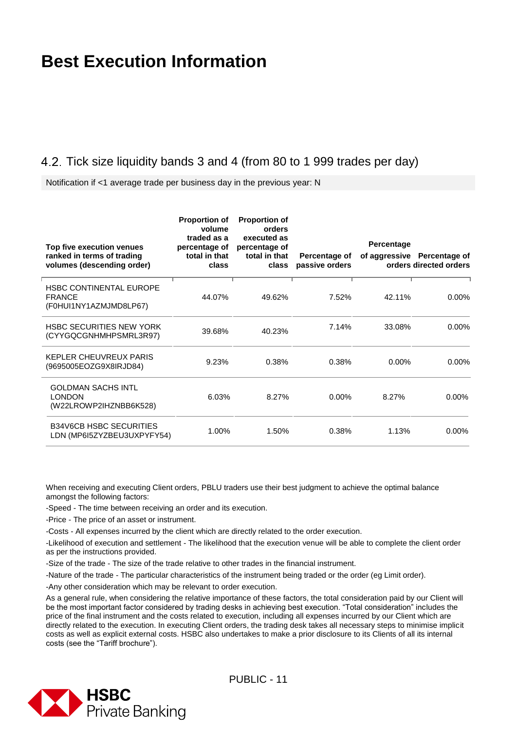#### <span id="page-10-0"></span>4.2. Tick size liquidity bands 3 and 4 (from 80 to 1 999 trades per day)

Notification if <1 average trade per business day in the previous year: N

| Top five execution venues<br>ranked in terms of trading<br>volumes (descending order) | <b>Proportion of</b><br>volume<br>traded as a<br>percentage of<br>total in that<br>class | <b>Proportion of</b><br>orders<br>executed as<br>percentage of<br>total in that<br>class | Percentage of<br>passive orders | Percentage | of aggressive Percentage of<br>orders directed orders |
|---------------------------------------------------------------------------------------|------------------------------------------------------------------------------------------|------------------------------------------------------------------------------------------|---------------------------------|------------|-------------------------------------------------------|
| <b>HSBC CONTINENTAL EUROPE</b><br><b>FRANCE</b><br>(F0HUI1NY1AZMJMD8LP67)             | 44.07%                                                                                   | 49.62%                                                                                   | 7.52%                           | 42.11%     | $0.00\%$                                              |
| <b>HSBC SECURITIES NEW YORK</b><br>(CYYGQCGNHMHPSMRL3R97)                             | 39.68%                                                                                   | 40.23%                                                                                   | 7.14%                           | 33.08%     | $0.00\%$                                              |
| <b>KEPLER CHEUVREUX PARIS</b><br>(9695005EOZG9X8IRJD84)                               | 9.23%                                                                                    | 0.38%                                                                                    | 0.38%                           | $0.00\%$   | $0.00\%$                                              |
| <b>GOLDMAN SACHS INTL</b><br><b>LONDON</b><br>(W22LROWP2IHZNBB6K528)                  | 6.03%                                                                                    | 8.27%                                                                                    | $0.00\%$                        | 8.27%      | $0.00\%$                                              |
| <b>B34V6CB HSBC SECURITIES</b><br>LDN (MP6I5ZYZBEU3UXPYFY54)                          | 1.00%                                                                                    | 1.50%                                                                                    | 0.38%                           | 1.13%      | $0.00\%$                                              |

When receiving and executing Client orders, PBLU traders use their best judgment to achieve the optimal balance amongst the following factors:

-Speed - The time between receiving an order and its execution.

-Price - The price of an asset or instrument.

-Costs - All expenses incurred by the client which are directly related to the order execution.

-Likelihood of execution and settlement - The likelihood that the execution venue will be able to complete the client order as per the instructions provided.

-Size of the trade - The size of the trade relative to other trades in the financial instrument.

-Nature of the trade - The particular characteristics of the instrument being traded or the order (eg Limit order).

-Any other consideration which may be relevant to order execution.

As a general rule, when considering the relative importance of these factors, the total consideration paid by our Client will be the most important factor considered by trading desks in achieving best execution. "Total consideration" includes the price of the final instrument and the costs related to execution, including all expenses incurred by our Client which are directly related to the execution. In executing Client orders, the trading desk takes all necessary steps to minimise implicit costs as well as explicit external costs. HSBC also undertakes to make a prior disclosure to its Clients of all its internal costs (see the "Tariff brochure").

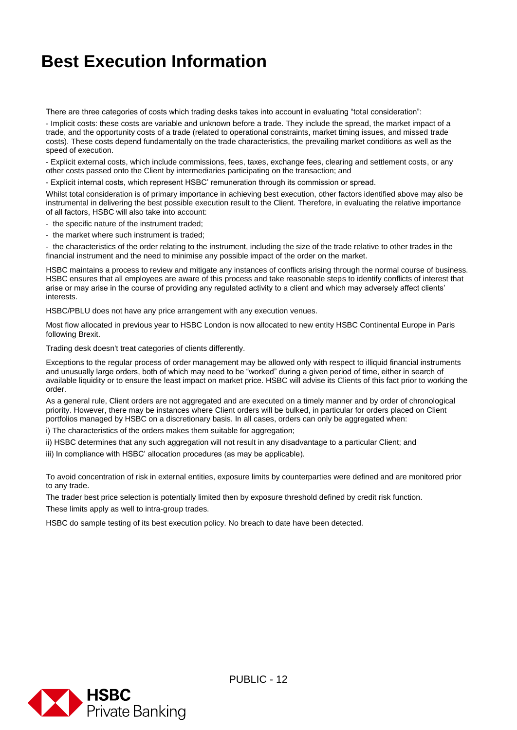There are three categories of costs which trading desks takes into account in evaluating "total consideration":

- Implicit costs: these costs are variable and unknown before a trade. They include the spread, the market impact of a trade, and the opportunity costs of a trade (related to operational constraints, market timing issues, and missed trade costs). These costs depend fundamentally on the trade characteristics, the prevailing market conditions as well as the speed of execution.

- Explicit external costs, which include commissions, fees, taxes, exchange fees, clearing and settlement costs, or any other costs passed onto the Client by intermediaries participating on the transaction; and

- Explicit internal costs, which represent HSBC' remuneration through its commission or spread.

Whilst total consideration is of primary importance in achieving best execution, other factors identified above may also be instrumental in delivering the best possible execution result to the Client. Therefore, in evaluating the relative importance of all factors, HSBC will also take into account:

- the specific nature of the instrument traded;

- the market where such instrument is traded;

- the characteristics of the order relating to the instrument, including the size of the trade relative to other trades in the financial instrument and the need to minimise any possible impact of the order on the market.

HSBC maintains a process to review and mitigate any instances of conflicts arising through the normal course of business. HSBC ensures that all employees are aware of this process and take reasonable steps to identify conflicts of interest that arise or may arise in the course of providing any regulated activity to a client and which may adversely affect clients' interests.

HSBC/PBLU does not have any price arrangement with any execution venues.

Most flow allocated in previous year to HSBC London is now allocated to new entity HSBC Continental Europe in Paris following Brexit.

Trading desk doesn't treat categories of clients differently.

Exceptions to the regular process of order management may be allowed only with respect to illiquid financial instruments and unusually large orders, both of which may need to be "worked" during a given period of time, either in search of available liquidity or to ensure the least impact on market price. HSBC will advise its Clients of this fact prior to working the order.

As a general rule, Client orders are not aggregated and are executed on a timely manner and by order of chronological priority. However, there may be instances where Client orders will be bulked, in particular for orders placed on Client portfolios managed by HSBC on a discretionary basis. In all cases, orders can only be aggregated when:

i) The characteristics of the orders makes them suitable for aggregation;

ii) HSBC determines that any such aggregation will not result in any disadvantage to a particular Client; and

iii) In compliance with HSBC' allocation procedures (as may be applicable).

To avoid concentration of risk in external entities, exposure limits by counterparties were defined and are monitored prior to any trade.

The trader best price selection is potentially limited then by exposure threshold defined by credit risk function. These limits apply as well to intra-group trades.

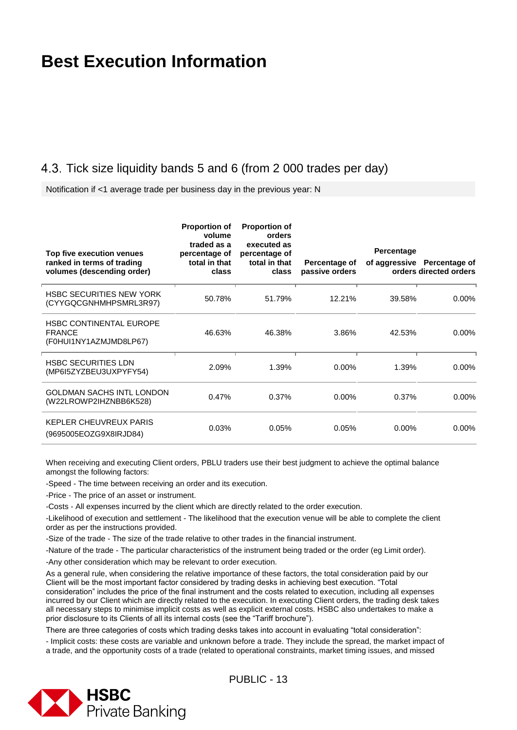#### <span id="page-12-0"></span>4.3. Tick size liquidity bands 5 and 6 (from 2 000 trades per day)

Notification if <1 average trade per business day in the previous year: N

| Top five execution venues<br>ranked in terms of trading<br>volumes (descending order) | <b>Proportion of</b><br>volume<br>traded as a<br>percentage of<br>total in that<br>class | <b>Proportion of</b><br>orders<br>executed as<br>percentage of<br>total in that<br>class | Percentage of<br>passive orders | Percentage | of aggressive Percentage of<br>orders directed orders |
|---------------------------------------------------------------------------------------|------------------------------------------------------------------------------------------|------------------------------------------------------------------------------------------|---------------------------------|------------|-------------------------------------------------------|
| <b>HSBC SECURITIES NEW YORK</b><br>(CYYGQCGNHMHPSMRL3R97)                             | 50.78%                                                                                   | 51.79%                                                                                   | 12.21%                          | 39.58%     | $0.00\%$                                              |
| <b>HSBC CONTINENTAL EUROPE</b><br><b>FRANCE</b><br>(F0HUI1NY1AZMJMD8LP67)             | 46.63%                                                                                   | 46.38%                                                                                   | 3.86%                           | 42.53%     | $0.00\%$                                              |
| <b>HSBC SECURITIES LDN</b><br>(MP6I5ZYZBEU3UXPYFY54)                                  | 2.09%                                                                                    | 1.39%                                                                                    | $0.00\%$                        | 1.39%      | $0.00\%$                                              |
| <b>GOLDMAN SACHS INTL LONDON</b><br>(W22LROWP2IHZNBB6K528)                            | 0.47%                                                                                    | 0.37%                                                                                    | $0.00\%$                        | 0.37%      | $0.00\%$                                              |
| KEPLER CHEUVREUX PARIS<br>(9695005EOZG9X8IRJD84)                                      | 0.03%                                                                                    | 0.05%                                                                                    | 0.05%                           | 0.00%      | $0.00\%$                                              |

When receiving and executing Client orders, PBLU traders use their best judgment to achieve the optimal balance amongst the following factors:

-Speed - The time between receiving an order and its execution.

-Price - The price of an asset or instrument.

-Costs - All expenses incurred by the client which are directly related to the order execution.

-Likelihood of execution and settlement - The likelihood that the execution venue will be able to complete the client order as per the instructions provided.

-Size of the trade - The size of the trade relative to other trades in the financial instrument.

-Nature of the trade - The particular characteristics of the instrument being traded or the order (eg Limit order).

-Any other consideration which may be relevant to order execution.

As a general rule, when considering the relative importance of these factors, the total consideration paid by our Client will be the most important factor considered by trading desks in achieving best execution. "Total consideration" includes the price of the final instrument and the costs related to execution, including all expenses incurred by our Client which are directly related to the execution. In executing Client orders, the trading desk takes all necessary steps to minimise implicit costs as well as explicit external costs. HSBC also undertakes to make a prior disclosure to its Clients of all its internal costs (see the "Tariff brochure").

There are three categories of costs which trading desks takes into account in evaluating "total consideration":

- Implicit costs: these costs are variable and unknown before a trade. They include the spread, the market impact of a trade, and the opportunity costs of a trade (related to operational constraints, market timing issues, and missed

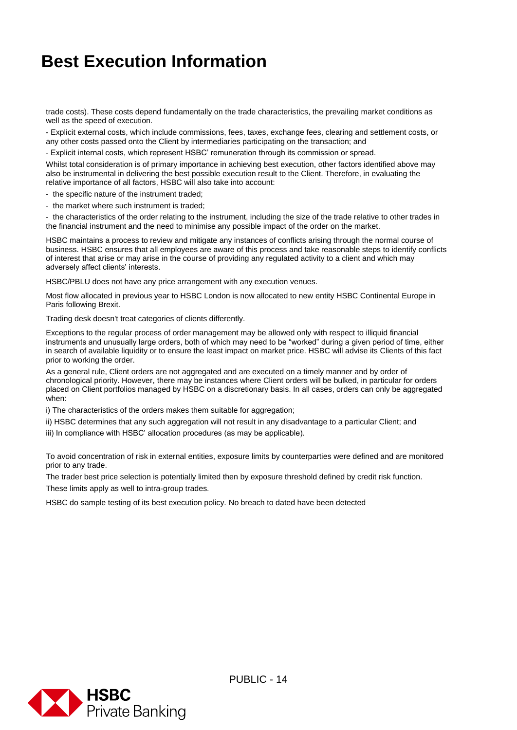trade costs). These costs depend fundamentally on the trade characteristics, the prevailing market conditions as well as the speed of execution.

- Explicit external costs, which include commissions, fees, taxes, exchange fees, clearing and settlement costs, or any other costs passed onto the Client by intermediaries participating on the transaction; and

- Explicit internal costs, which represent HSBC' remuneration through its commission or spread.

Whilst total consideration is of primary importance in achieving best execution, other factors identified above may also be instrumental in delivering the best possible execution result to the Client. Therefore, in evaluating the relative importance of all factors, HSBC will also take into account:

- the specific nature of the instrument traded;

- the market where such instrument is traded;

- the characteristics of the order relating to the instrument, including the size of the trade relative to other trades in the financial instrument and the need to minimise any possible impact of the order on the market.

HSBC maintains a process to review and mitigate any instances of conflicts arising through the normal course of business. HSBC ensures that all employees are aware of this process and take reasonable steps to identify conflicts of interest that arise or may arise in the course of providing any regulated activity to a client and which may adversely affect clients' interests.

HSBC/PBLU does not have any price arrangement with any execution venues.

Most flow allocated in previous year to HSBC London is now allocated to new entity HSBC Continental Europe in Paris following Brexit.

Trading desk doesn't treat categories of clients differently.

Exceptions to the regular process of order management may be allowed only with respect to illiquid financial instruments and unusually large orders, both of which may need to be "worked" during a given period of time, either in search of available liquidity or to ensure the least impact on market price. HSBC will advise its Clients of this fact prior to working the order.

As a general rule, Client orders are not aggregated and are executed on a timely manner and by order of chronological priority. However, there may be instances where Client orders will be bulked, in particular for orders placed on Client portfolios managed by HSBC on a discretionary basis. In all cases, orders can only be aggregated when:

i) The characteristics of the orders makes them suitable for aggregation;

- ii) HSBC determines that any such aggregation will not result in any disadvantage to a particular Client; and
- iii) In compliance with HSBC' allocation procedures (as may be applicable).

To avoid concentration of risk in external entities, exposure limits by counterparties were defined and are monitored prior to any trade.

The trader best price selection is potentially limited then by exposure threshold defined by credit risk function.

These limits apply as well to intra-group trades.

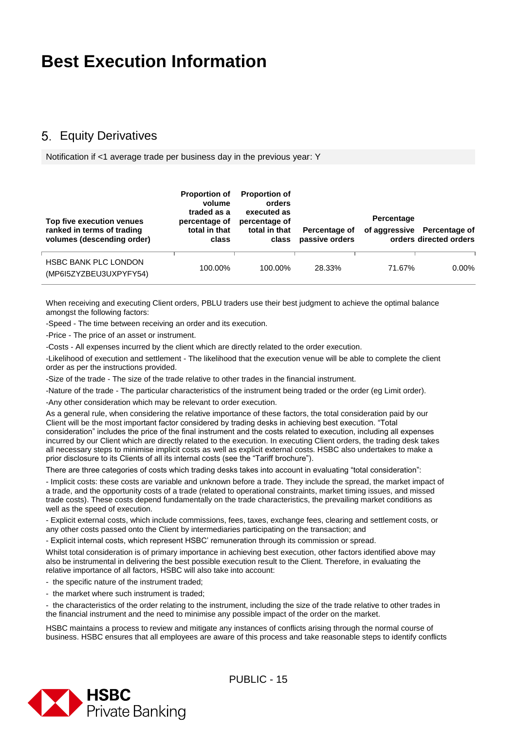#### <span id="page-14-0"></span>**5. Equity Derivatives**

Notification if <1 average trade per business day in the previous year: Y

| Top five execution venues<br>ranked in terms of trading<br>volumes (descending order) | <b>Proportion of</b><br>volume<br>traded as a<br>percentage of<br>total in that<br>class | <b>Proportion of</b><br>orders<br>executed as<br>percentage of<br>total in that<br>class | Percentage of<br>passive orders | Percentage | of aggressive Percentage of<br>orders directed orders |
|---------------------------------------------------------------------------------------|------------------------------------------------------------------------------------------|------------------------------------------------------------------------------------------|---------------------------------|------------|-------------------------------------------------------|
| <b>HSBC BANK PLC LONDON</b><br>(MP6I5ZYZBEU3UXPYFY54)                                 | 100.00%                                                                                  | 100.00%                                                                                  | 28.33%                          | 71.67%     | $0.00\%$                                              |

When receiving and executing Client orders, PBLU traders use their best judgment to achieve the optimal balance amongst the following factors:

-Speed - The time between receiving an order and its execution.

-Price - The price of an asset or instrument.

-Costs - All expenses incurred by the client which are directly related to the order execution.

-Likelihood of execution and settlement - The likelihood that the execution venue will be able to complete the client order as per the instructions provided.

-Size of the trade - The size of the trade relative to other trades in the financial instrument.

-Nature of the trade - The particular characteristics of the instrument being traded or the order (eg Limit order).

-Any other consideration which may be relevant to order execution.

As a general rule, when considering the relative importance of these factors, the total consideration paid by our Client will be the most important factor considered by trading desks in achieving best execution. "Total consideration" includes the price of the final instrument and the costs related to execution, including all expenses incurred by our Client which are directly related to the execution. In executing Client orders, the trading desk takes all necessary steps to minimise implicit costs as well as explicit external costs. HSBC also undertakes to make a prior disclosure to its Clients of all its internal costs (see the "Tariff brochure").

There are three categories of costs which trading desks takes into account in evaluating "total consideration":

- Implicit costs: these costs are variable and unknown before a trade. They include the spread, the market impact of a trade, and the opportunity costs of a trade (related to operational constraints, market timing issues, and missed trade costs). These costs depend fundamentally on the trade characteristics, the prevailing market conditions as well as the speed of execution.

- Explicit external costs, which include commissions, fees, taxes, exchange fees, clearing and settlement costs, or any other costs passed onto the Client by intermediaries participating on the transaction; and

- Explicit internal costs, which represent HSBC' remuneration through its commission or spread.

Whilst total consideration is of primary importance in achieving best execution, other factors identified above may also be instrumental in delivering the best possible execution result to the Client. Therefore, in evaluating the relative importance of all factors, HSBC will also take into account:

- the specific nature of the instrument traded;

- the market where such instrument is traded;

- the characteristics of the order relating to the instrument, including the size of the trade relative to other trades in the financial instrument and the need to minimise any possible impact of the order on the market.

HSBC maintains a process to review and mitigate any instances of conflicts arising through the normal course of business. HSBC ensures that all employees are aware of this process and take reasonable steps to identify conflicts

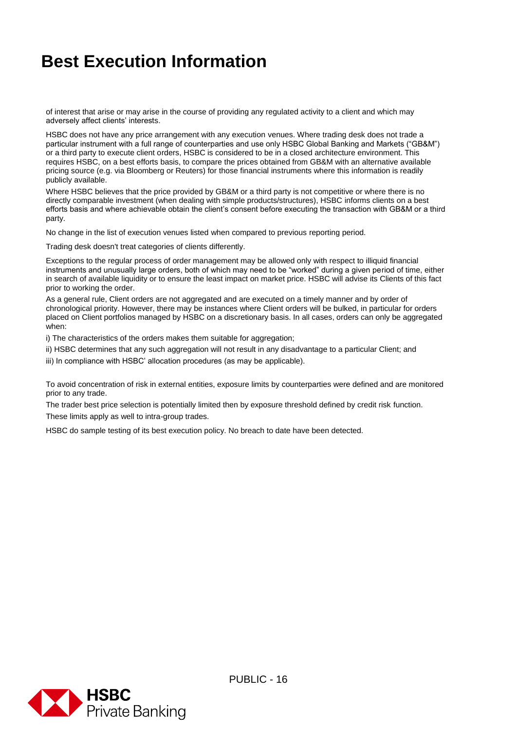of interest that arise or may arise in the course of providing any regulated activity to a client and which may adversely affect clients' interests.

HSBC does not have any price arrangement with any execution venues. Where trading desk does not trade a particular instrument with a full range of counterparties and use only HSBC Global Banking and Markets ("GB&M") or a third party to execute client orders, HSBC is considered to be in a closed architecture environment. This requires HSBC, on a best efforts basis, to compare the prices obtained from GB&M with an alternative available pricing source (e.g. via Bloomberg or Reuters) for those financial instruments where this information is readily publicly available.

Where HSBC believes that the price provided by GB&M or a third party is not competitive or where there is no directly comparable investment (when dealing with simple products/structures), HSBC informs clients on a best efforts basis and where achievable obtain the client's consent before executing the transaction with GB&M or a third party.

No change in the list of execution venues listed when compared to previous reporting period.

Trading desk doesn't treat categories of clients differently.

Exceptions to the regular process of order management may be allowed only with respect to illiquid financial instruments and unusually large orders, both of which may need to be "worked" during a given period of time, either in search of available liquidity or to ensure the least impact on market price. HSBC will advise its Clients of this fact prior to working the order.

As a general rule, Client orders are not aggregated and are executed on a timely manner and by order of chronological priority. However, there may be instances where Client orders will be bulked, in particular for orders placed on Client portfolios managed by HSBC on a discretionary basis. In all cases, orders can only be aggregated when:

i) The characteristics of the orders makes them suitable for aggregation;

ii) HSBC determines that any such aggregation will not result in any disadvantage to a particular Client; and

iii) In compliance with HSBC' allocation procedures (as may be applicable).

To avoid concentration of risk in external entities, exposure limits by counterparties were defined and are monitored prior to any trade.

The trader best price selection is potentially limited then by exposure threshold defined by credit risk function.

These limits apply as well to intra-group trades.

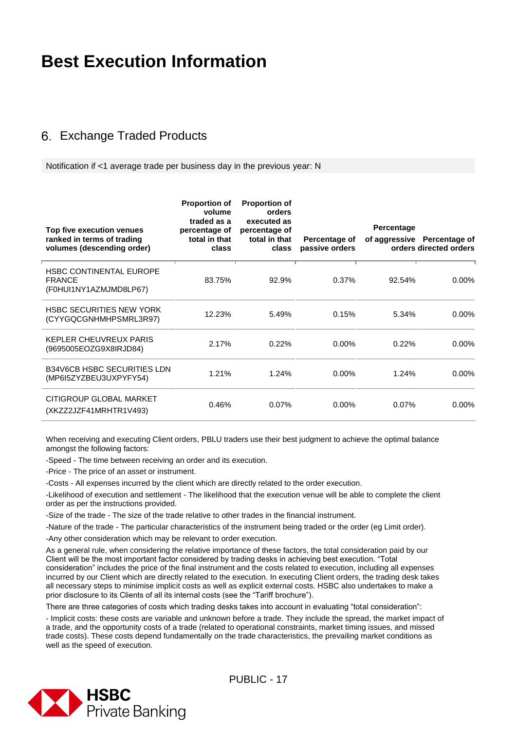#### <span id="page-16-0"></span>Exchange Traded Products

Notification if <1 average trade per business day in the previous year: N

| Top five execution venues<br>ranked in terms of trading<br>volumes (descending order) | <b>Proportion of</b><br>volume<br>traded as a<br>percentage of<br>total in that<br>class | <b>Proportion of</b><br>orders<br>executed as<br>percentage of<br>total in that<br>class | Percentage of<br>passive orders | Percentage | of aggressive Percentage of<br>orders directed orders |
|---------------------------------------------------------------------------------------|------------------------------------------------------------------------------------------|------------------------------------------------------------------------------------------|---------------------------------|------------|-------------------------------------------------------|
| <b>HSBC CONTINENTAL EUROPE</b><br><b>FRANCE</b><br>(F0HUI1NY1AZMJMD8LP67)             | 83.75%                                                                                   | 92.9%                                                                                    | 0.37%                           | 92.54%     | $0.00\%$                                              |
| <b>HSBC SECURITIES NEW YORK</b><br>(CYYGQCGNHMHPSMRL3R97)                             | 12.23%                                                                                   | 5.49%                                                                                    | 0.15%                           | 5.34%      | $0.00\%$                                              |
| KEPLER CHEUVREUX PARIS<br>(9695005EOZG9X8IRJD84)                                      | 2.17%                                                                                    | 0.22%                                                                                    | $0.00\%$                        | 0.22%      | $0.00\%$                                              |
| <b>B34V6CB HSBC SECURITIES LDN</b><br>(MP6I5ZYZBEU3UXPYFY54)                          | 1.21%                                                                                    | 1.24%                                                                                    | $0.00\%$                        | 1.24%      | $0.00\%$                                              |
| CITIGROUP GLOBAL MARKET<br>(XKZZ2JZF41MRHTR1V493)                                     | 0.46%                                                                                    | $0.07\%$                                                                                 | $0.00\%$                        | $0.07\%$   | $0.00\%$                                              |

When receiving and executing Client orders, PBLU traders use their best judgment to achieve the optimal balance amongst the following factors:

-Speed - The time between receiving an order and its execution.

-Price - The price of an asset or instrument.

-Costs - All expenses incurred by the client which are directly related to the order execution.

-Likelihood of execution and settlement - The likelihood that the execution venue will be able to complete the client order as per the instructions provided.

-Size of the trade - The size of the trade relative to other trades in the financial instrument.

-Nature of the trade - The particular characteristics of the instrument being traded or the order (eg Limit order).

-Any other consideration which may be relevant to order execution.

As a general rule, when considering the relative importance of these factors, the total consideration paid by our Client will be the most important factor considered by trading desks in achieving best execution. "Total consideration" includes the price of the final instrument and the costs related to execution, including all expenses incurred by our Client which are directly related to the execution. In executing Client orders, the trading desk takes all necessary steps to minimise implicit costs as well as explicit external costs. HSBC also undertakes to make a prior disclosure to its Clients of all its internal costs (see the "Tariff brochure").

There are three categories of costs which trading desks takes into account in evaluating "total consideration":

- Implicit costs: these costs are variable and unknown before a trade. They include the spread, the market impact of a trade, and the opportunity costs of a trade (related to operational constraints, market timing issues, and missed trade costs). These costs depend fundamentally on the trade characteristics, the prevailing market conditions as well as the speed of execution.

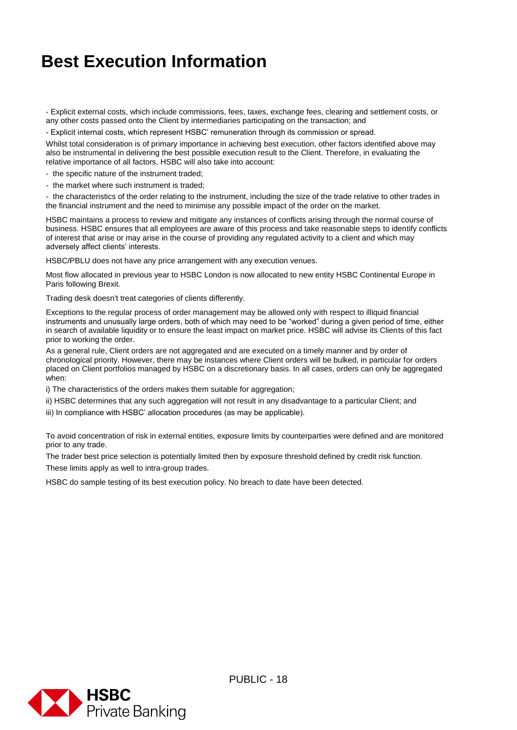- Explicit external costs, which include commissions, fees, taxes, exchange fees, clearing and settlement costs, or any other costs passed onto the Client by intermediaries participating on the transaction; and

- Explicit internal costs, which represent HSBC' remuneration through its commission or spread.

Whilst total consideration is of primary importance in achieving best execution, other factors identified above may also be instrumental in delivering the best possible execution result to the Client. Therefore, in evaluating the relative importance of all factors, HSBC will also take into account:

- the specific nature of the instrument traded;

- the market where such instrument is traded;

- the characteristics of the order relating to the instrument, including the size of the trade relative to other trades in the financial instrument and the need to minimise any possible impact of the order on the market.

HSBC maintains a process to review and mitigate any instances of conflicts arising through the normal course of business. HSBC ensures that all employees are aware of this process and take reasonable steps to identify conflicts of interest that arise or may arise in the course of providing any regulated activity to a client and which may adversely affect clients' interests.

HSBC/PBLU does not have any price arrangement with any execution venues.

Most flow allocated in previous year to HSBC London is now allocated to new entity HSBC Continental Europe in Paris following Brexit.

Trading desk doesn't treat categories of clients differently.

Exceptions to the regular process of order management may be allowed only with respect to illiquid financial instruments and unusually large orders, both of which may need to be "worked" during a given period of time, either in search of available liquidity or to ensure the least impact on market price. HSBC will advise its Clients of this fact prior to working the order.

As a general rule, Client orders are not aggregated and are executed on a timely manner and by order of chronological priority. However, there may be instances where Client orders will be bulked, in particular for orders placed on Client portfolios managed by HSBC on a discretionary basis. In all cases, orders can only be aggregated when:

i) The characteristics of the orders makes them suitable for aggregation;

ii) HSBC determines that any such aggregation will not result in any disadvantage to a particular Client; and

iii) In compliance with HSBC' allocation procedures (as may be applicable).

To avoid concentration of risk in external entities, exposure limits by counterparties were defined and are monitored prior to any trade.

The trader best price selection is potentially limited then by exposure threshold defined by credit risk function. These limits apply as well to intra-group trades.

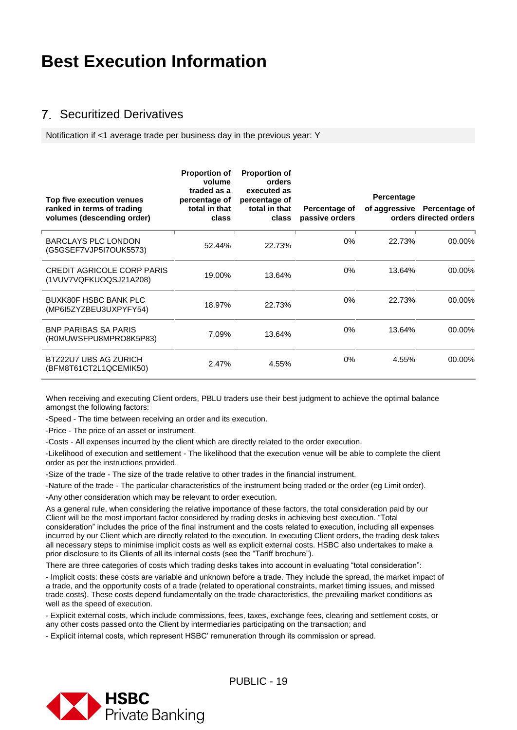#### <span id="page-18-0"></span>Securitized Derivatives

Notification if <1 average trade per business day in the previous year: Y

| Top five execution venues<br>ranked in terms of trading<br>volumes (descending order) | <b>Proportion of</b><br>volume<br>traded as a<br>percentage of<br>total in that<br>class | <b>Proportion of</b><br>orders<br>executed as<br>percentage of<br>total in that<br>class | Percentage of<br>passive orders | Percentage | of aggressive Percentage of<br>orders directed orders |
|---------------------------------------------------------------------------------------|------------------------------------------------------------------------------------------|------------------------------------------------------------------------------------------|---------------------------------|------------|-------------------------------------------------------|
| <b>BARCLAYS PLC LONDON</b><br>(G5GSEF7VJP5I7OUK5573)                                  | 52.44%                                                                                   | 22.73%                                                                                   | $0\%$                           | 22.73%     | 00.00%                                                |
| <b>CREDIT AGRICOLE CORP PARIS</b><br>(1VUV7VQFKUOQSJ21A208)                           | 19.00%                                                                                   | 13.64%                                                                                   | $0\%$                           | 13.64%     | 00.00%                                                |
| <b>BUXK80F HSBC BANK PLC</b><br>(MP6I5ZYZBEU3UXPYFY54)                                | 18.97%                                                                                   | 22.73%                                                                                   | $0\%$                           | 22.73%     | 00.00%                                                |
| <b>BNP PARIBAS SA PARIS</b><br>(R0MUWSFPU8MPRO8K5P83)                                 | 7.09%                                                                                    | 13.64%                                                                                   | $0\%$                           | 13.64%     | 00.00%                                                |
| BTZ22U7 UBS AG ZURICH<br>(BFM8T61CT2L1QCEMIK50)                                       | 2.47%                                                                                    | 4.55%                                                                                    | $0\%$                           | 4.55%      | 00.00%                                                |

When receiving and executing Client orders, PBLU traders use their best judgment to achieve the optimal balance amongst the following factors:

-Speed - The time between receiving an order and its execution.

-Price - The price of an asset or instrument.

-Costs - All expenses incurred by the client which are directly related to the order execution.

-Likelihood of execution and settlement - The likelihood that the execution venue will be able to complete the client order as per the instructions provided.

-Size of the trade - The size of the trade relative to other trades in the financial instrument.

-Nature of the trade - The particular characteristics of the instrument being traded or the order (eg Limit order).

-Any other consideration which may be relevant to order execution.

As a general rule, when considering the relative importance of these factors, the total consideration paid by our Client will be the most important factor considered by trading desks in achieving best execution. "Total consideration" includes the price of the final instrument and the costs related to execution, including all expenses incurred by our Client which are directly related to the execution. In executing Client orders, the trading desk takes all necessary steps to minimise implicit costs as well as explicit external costs. HSBC also undertakes to make a prior disclosure to its Clients of all its internal costs (see the "Tariff brochure").

There are three categories of costs which trading desks takes into account in evaluating "total consideration":

- Implicit costs: these costs are variable and unknown before a trade. They include the spread, the market impact of a trade, and the opportunity costs of a trade (related to operational constraints, market timing issues, and missed trade costs). These costs depend fundamentally on the trade characteristics, the prevailing market conditions as well as the speed of execution.

- Explicit external costs, which include commissions, fees, taxes, exchange fees, clearing and settlement costs, or any other costs passed onto the Client by intermediaries participating on the transaction; and

- Explicit internal costs, which represent HSBC' remuneration through its commission or spread.

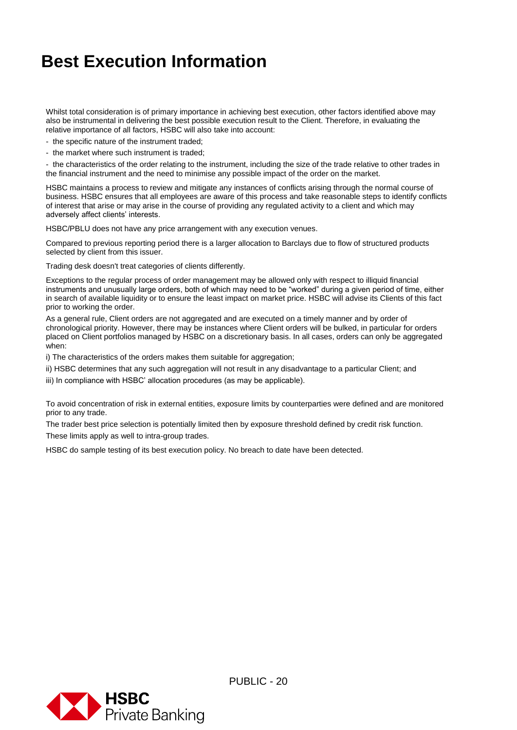Whilst total consideration is of primary importance in achieving best execution, other factors identified above may also be instrumental in delivering the best possible execution result to the Client. Therefore, in evaluating the relative importance of all factors, HSBC will also take into account:

- the specific nature of the instrument traded;
- the market where such instrument is traded;

- the characteristics of the order relating to the instrument, including the size of the trade relative to other trades in the financial instrument and the need to minimise any possible impact of the order on the market.

HSBC maintains a process to review and mitigate any instances of conflicts arising through the normal course of business. HSBC ensures that all employees are aware of this process and take reasonable steps to identify conflicts of interest that arise or may arise in the course of providing any regulated activity to a client and which may adversely affect clients' interests.

HSBC/PBLU does not have any price arrangement with any execution venues.

Compared to previous reporting period there is a larger allocation to Barclays due to flow of structured products selected by client from this issuer.

Trading desk doesn't treat categories of clients differently.

Exceptions to the regular process of order management may be allowed only with respect to illiquid financial instruments and unusually large orders, both of which may need to be "worked" during a given period of time, either in search of available liquidity or to ensure the least impact on market price. HSBC will advise its Clients of this fact prior to working the order.

As a general rule, Client orders are not aggregated and are executed on a timely manner and by order of chronological priority. However, there may be instances where Client orders will be bulked, in particular for orders placed on Client portfolios managed by HSBC on a discretionary basis. In all cases, orders can only be aggregated when:

i) The characteristics of the orders makes them suitable for aggregation;

ii) HSBC determines that any such aggregation will not result in any disadvantage to a particular Client; and

iii) In compliance with HSBC' allocation procedures (as may be applicable).

To avoid concentration of risk in external entities, exposure limits by counterparties were defined and are monitored prior to any trade.

The trader best price selection is potentially limited then by exposure threshold defined by credit risk function. These limits apply as well to intra-group trades.

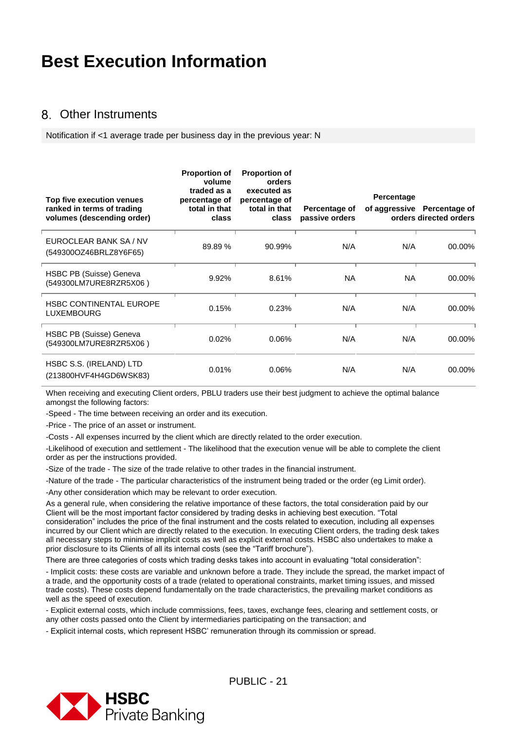#### <span id="page-20-0"></span>Other Instruments

Notification if <1 average trade per business day in the previous year: N

| Top five execution venues<br>ranked in terms of trading<br>volumes (descending order) | <b>Proportion of</b><br>volume<br>traded as a<br>percentage of<br>total in that<br>class | <b>Proportion of</b><br>orders<br>executed as<br>percentage of<br>total in that<br>class | Percentage of<br>passive orders | Percentage | of aggressive Percentage of<br>orders directed orders |
|---------------------------------------------------------------------------------------|------------------------------------------------------------------------------------------|------------------------------------------------------------------------------------------|---------------------------------|------------|-------------------------------------------------------|
| EUROCLEAR BANK SA / NV<br>(549300OZ46BRLZ8Y6F65)                                      | 89.89%                                                                                   | 90.99%                                                                                   | N/A                             | N/A        | 00.00%                                                |
| HSBC PB (Suisse) Geneva<br>(549300LM7URE8RZR5X06)                                     | 9.92%                                                                                    | 8.61%                                                                                    | <b>NA</b>                       | NA.        | 00.00%                                                |
| <b>HSBC CONTINENTAL EUROPE</b><br><b>LUXEMBOURG</b>                                   | 0.15%                                                                                    | 0.23%                                                                                    | N/A                             | N/A        | 00.00%                                                |
| HSBC PB (Suisse) Geneva<br>(549300LM7URE8RZR5X06)                                     | 0.02%                                                                                    | 0.06%                                                                                    | N/A                             | N/A        | 00.00%                                                |
| HSBC S.S. (IRELAND) LTD<br>(213800HVF4H4GD6WSK83)                                     | 0.01%                                                                                    | 0.06%                                                                                    | N/A                             | N/A        | 00.00%                                                |

When receiving and executing Client orders, PBLU traders use their best judgment to achieve the optimal balance amongst the following factors:

-Speed - The time between receiving an order and its execution.

-Price - The price of an asset or instrument.

-Costs - All expenses incurred by the client which are directly related to the order execution.

-Likelihood of execution and settlement - The likelihood that the execution venue will be able to complete the client order as per the instructions provided.

-Size of the trade - The size of the trade relative to other trades in the financial instrument.

-Nature of the trade - The particular characteristics of the instrument being traded or the order (eg Limit order).

-Any other consideration which may be relevant to order execution.

As a general rule, when considering the relative importance of these factors, the total consideration paid by our Client will be the most important factor considered by trading desks in achieving best execution. "Total consideration" includes the price of the final instrument and the costs related to execution, including all expenses incurred by our Client which are directly related to the execution. In executing Client orders, the trading desk takes all necessary steps to minimise implicit costs as well as explicit external costs. HSBC also undertakes to make a prior disclosure to its Clients of all its internal costs (see the "Tariff brochure").

There are three categories of costs which trading desks takes into account in evaluating "total consideration":

- Implicit costs: these costs are variable and unknown before a trade. They include the spread, the market impact of a trade, and the opportunity costs of a trade (related to operational constraints, market timing issues, and missed trade costs). These costs depend fundamentally on the trade characteristics, the prevailing market conditions as well as the speed of execution.

- Explicit external costs, which include commissions, fees, taxes, exchange fees, clearing and settlement costs, or any other costs passed onto the Client by intermediaries participating on the transaction; and

- Explicit internal costs, which represent HSBC' remuneration through its commission or spread.